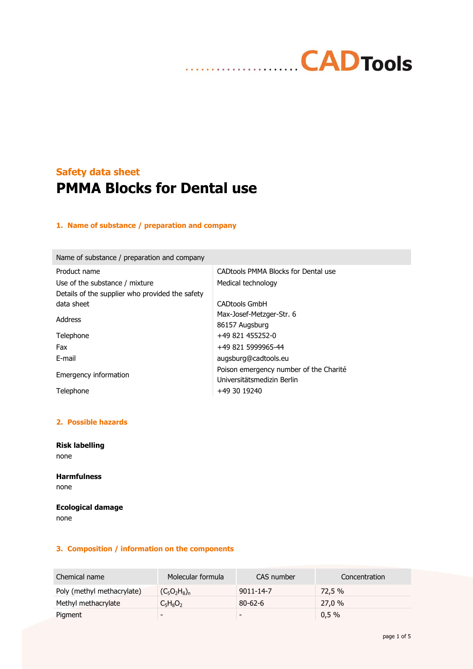# **CADTools** . . . . . . . . . . . . . .

# **Safety data sheet PMMA Blocks for Dental use**

## **1. Name of substance / preparation and company**

Name of substance / preparation and company

| Product name                                    | CAD tools PMMA Blocks for Dental use   |
|-------------------------------------------------|----------------------------------------|
| Use of the substance / mixture                  | Medical technology                     |
| Details of the supplier who provided the safety |                                        |
| data sheet                                      | <b>CADtools GmbH</b>                   |
| Address                                         | Max-Josef-Metzger-Str. 6               |
|                                                 | 86157 Augsburg                         |
| Telephone                                       | $+49821455252-0$                       |
| Fax                                             | +49 821 5999965-44                     |
| F-mail                                          | augsburg@cadtools.eu                   |
| Emergency information                           | Poison emergency number of the Charité |
|                                                 | Universitätsmedizin Berlin             |
| Telephone                                       | +49 30 19240                           |

## **2. Possible hazards**

**Risk labelling** none

## **Harmfulness** none

## **Ecological damage** none

### **3. Composition / information on the components**

| Chemical name              | Molecular formula | CAS number               | Concentration |
|----------------------------|-------------------|--------------------------|---------------|
| Poly (methyl methacrylate) | $(C_5O_2H_8)_n$   | $9011 - 14 - 7$          | 72.5 %        |
| Methyl methacrylate        | $C_5H_8O_2$       | $80 - 62 - 6$            | 27.0%         |
| Pigment                    | -                 | $\overline{\phantom{0}}$ | 0,5%          |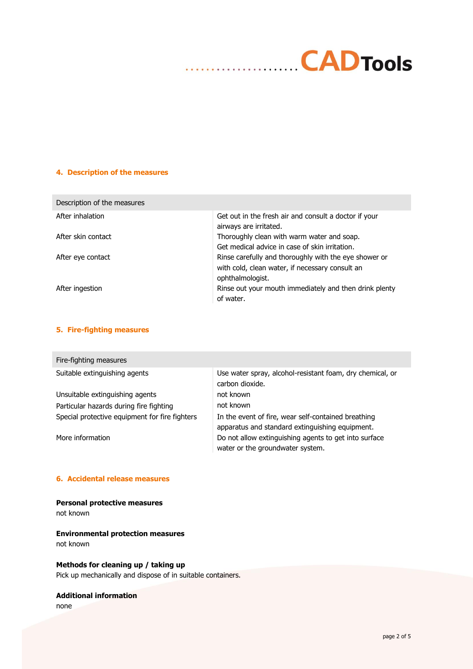# **CADTools** . . . . . . . . . . . . . .

## **4. Description of the measures**

| Description of the measures |                                                                                                                              |
|-----------------------------|------------------------------------------------------------------------------------------------------------------------------|
| After inhalation            | Get out in the fresh air and consult a doctor if your<br>airways are irritated.                                              |
| After skin contact          | Thoroughly clean with warm water and soap.                                                                                   |
|                             | Get medical advice in case of skin irritation.                                                                               |
| After eye contact           | Rinse carefully and thoroughly with the eye shower or<br>with cold, clean water, if necessary consult an<br>ophthalmologist. |
| After ingestion             | Rinse out your mouth immediately and then drink plenty<br>of water.                                                          |

## **5. Fire-fighting measures**

| Fire-fighting measures                         |                                                                                                        |
|------------------------------------------------|--------------------------------------------------------------------------------------------------------|
| Suitable extinguishing agents                  | Use water spray, alcohol-resistant foam, dry chemical, or<br>carbon dioxide.                           |
| Unsuitable extinguishing agents                | not known                                                                                              |
| Particular hazards during fire fighting        | not known                                                                                              |
| Special protective equipment for fire fighters | In the event of fire, wear self-contained breathing<br>apparatus and standard extinguishing equipment. |
| More information                               | Do not allow extinguishing agents to get into surface<br>water or the groundwater system.              |

## **6. Accidental release measures**

## **Personal protective measures**

not known

#### **Environmental protection measures** not known

## **Methods for cleaning up / taking up**

Pick up mechanically and dispose of in suitable containers.

### **Additional information**

none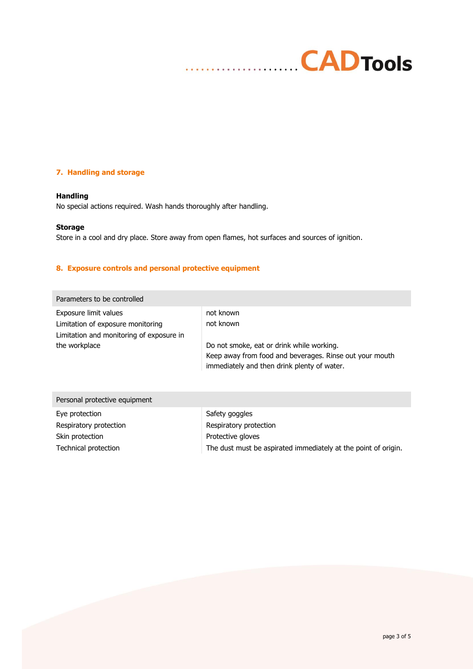# **CADTools** . . . . . . . . . . **. . .** .

## **7. Handling and storage**

### **Handling**

No special actions required. Wash hands thoroughly after handling.

#### **Storage**

Store in a cool and dry place. Store away from open flames, hot surfaces and sources of ignition.

## **8. Exposure controls and personal protective equipment**

| Parameters to be controlled                                                                                             |                                                                                                                                                                               |
|-------------------------------------------------------------------------------------------------------------------------|-------------------------------------------------------------------------------------------------------------------------------------------------------------------------------|
| Exposure limit values<br>Limitation of exposure monitoring<br>Limitation and monitoring of exposure in<br>the workplace | not known<br>not known<br>Do not smoke, eat or drink while working.<br>Keep away from food and beverages. Rinse out your mouth<br>immediately and then drink plenty of water. |
| Personal protective equipment                                                                                           |                                                                                                                                                                               |

| Eye protection         | Safety goggles                                                 |
|------------------------|----------------------------------------------------------------|
| Respiratory protection | Respiratory protection                                         |
| Skin protection        | Protective gloves                                              |
| Technical protection   | The dust must be aspirated immediately at the point of origin. |
|                        |                                                                |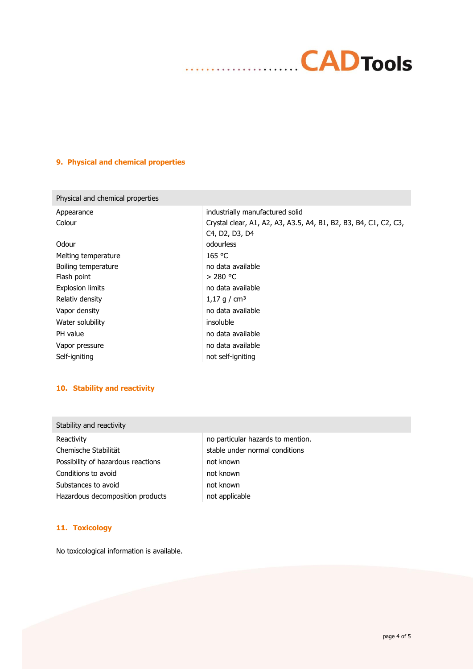## **CADTools**  $\ddotsc$  $\ddotsc$

## **9. Physical and chemical properties**

| Physical and chemical properties |                                                                   |
|----------------------------------|-------------------------------------------------------------------|
| Appearance                       | industrially manufactured solid                                   |
| Colour                           | Crystal clear, A1, A2, A3, A3.5, A4, B1, B2, B3, B4, C1, C2, C3,  |
|                                  | C <sub>4</sub> , D <sub>2</sub> , D <sub>3</sub> , D <sub>4</sub> |
| Odour                            | odourless                                                         |
| Melting temperature              | 165 °C                                                            |
| Boiling temperature              | no data available                                                 |
| Flash point                      | $>$ 280 °C                                                        |
| <b>Explosion limits</b>          | no data available                                                 |
| Relativ density                  | 1,17 g / cm <sup>3</sup>                                          |
| Vapor density                    | no data available                                                 |
| Water solubility                 | insoluble                                                         |
| PH value                         | no data available                                                 |
| Vapor pressure                   | no data available                                                 |
| Self-igniting                    | not self-igniting                                                 |

## **10. Stability and reactivity**

## Stability and reactivity

Chemische Stabilität stable under normal conditions Possibility of hazardous reactions not known Conditions to avoid not known Substances to avoid Hazardous decomposition products hot applicable

Reactivity **Network** no particular hazards to mention.

### **11. Toxicology**

No toxicological information is available.